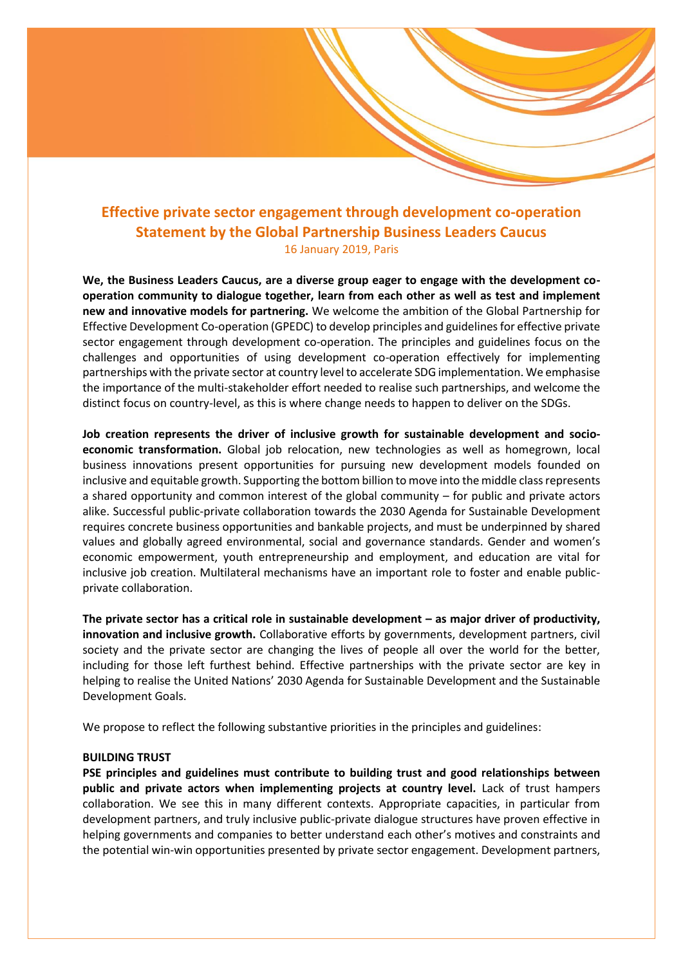# **Effective private sector engagement through development co-operation Statement by the Global Partnership Business Leaders Caucus** 16 January 2019, Paris

**We, the Business Leaders Caucus, are a diverse group eager to engage with the development cooperation community to dialogue together, learn from each other as well as test and implement new and innovative models for partnering.** We welcome the ambition of the Global Partnership for Effective Development Co-operation (GPEDC) to develop principles and guidelines for effective private sector engagement through development co-operation. The principles and guidelines focus on the challenges and opportunities of using development co-operation effectively for implementing partnerships with the private sector at country level to accelerate SDG implementation. We emphasise the importance of the multi-stakeholder effort needed to realise such partnerships, and welcome the distinct focus on country-level, as this is where change needs to happen to deliver on the SDGs.

**Job creation represents the driver of inclusive growth for sustainable development and socioeconomic transformation.** Global job relocation, new technologies as well as homegrown, local business innovations present opportunities for pursuing new development models founded on inclusive and equitable growth. Supporting the bottom billion to move into the middle class represents a shared opportunity and common interest of the global community – for public and private actors alike. Successful public-private collaboration towards the 2030 Agenda for Sustainable Development requires concrete business opportunities and bankable projects, and must be underpinned by shared values and globally agreed environmental, social and governance standards. Gender and women's economic empowerment, youth entrepreneurship and employment, and education are vital for inclusive job creation. Multilateral mechanisms have an important role to foster and enable publicprivate collaboration.

**The private sector has a critical role in sustainable development – as major driver of productivity, innovation and inclusive growth.** Collaborative efforts by governments, development partners, civil society and the private sector are changing the lives of people all over the world for the better, including for those left furthest behind. Effective partnerships with the private sector are key in helping to realise the United Nations' 2030 Agenda for Sustainable Development and the Sustainable Development Goals.

We propose to reflect the following substantive priorities in the principles and guidelines:

### **BUILDING TRUST**

**PSE principles and guidelines must contribute to building trust and good relationships between public and private actors when implementing projects at country level.** Lack of trust hampers collaboration. We see this in many different contexts. Appropriate capacities, in particular from development partners, and truly inclusive public-private dialogue structures have proven effective in helping governments and companies to better understand each other's motives and constraints and the potential win-win opportunities presented by private sector engagement. Development partners,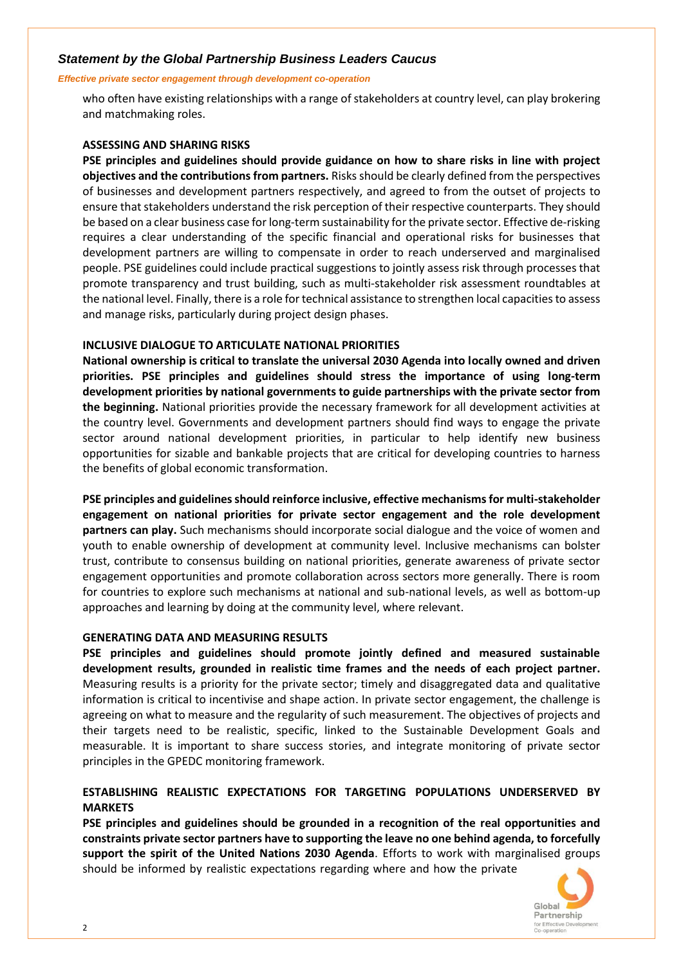# *Statement by the Global Partnership Business Leaders Caucus*

### *Effective private sector engagement through development co-operation*

who often have existing relationships with a range of stakeholders at country level, can play brokering and matchmaking roles.

### **ASSESSING AND SHARING RISKS**

**PSE principles and guidelines should provide guidance on how to share risks in line with project objectives and the contributions from partners.** Risks should be clearly defined from the perspectives of businesses and development partners respectively, and agreed to from the outset of projects to ensure that stakeholders understand the risk perception of their respective counterparts. They should be based on a clear business case for long-term sustainability for the private sector. Effective de-risking requires a clear understanding of the specific financial and operational risks for businesses that development partners are willing to compensate in order to reach underserved and marginalised people. PSE guidelines could include practical suggestions to jointly assess risk through processes that promote transparency and trust building, such as multi-stakeholder risk assessment roundtables at the national level. Finally, there is a role for technical assistance to strengthen local capacities to assess and manage risks, particularly during project design phases.

# **INCLUSIVE DIALOGUE TO ARTICULATE NATIONAL PRIORITIES**

**National ownership is critical to translate the universal 2030 Agenda into locally owned and driven priorities. PSE principles and guidelines should stress the importance of using long-term development priorities by national governments to guide partnerships with the private sector from the beginning.** National priorities provide the necessary framework for all development activities at the country level. Governments and development partners should find ways to engage the private sector around national development priorities, in particular to help identify new business opportunities for sizable and bankable projects that are critical for developing countries to harness the benefits of global economic transformation.

**PSE principles and guidelines should reinforce inclusive, effective mechanisms for multi-stakeholder engagement on national priorities for private sector engagement and the role development partners can play.** Such mechanisms should incorporate social dialogue and the voice of women and youth to enable ownership of development at community level. Inclusive mechanisms can bolster trust, contribute to consensus building on national priorities, generate awareness of private sector engagement opportunities and promote collaboration across sectors more generally. There is room for countries to explore such mechanisms at national and sub-national levels, as well as bottom-up approaches and learning by doing at the community level, where relevant.

### **GENERATING DATA AND MEASURING RESULTS**

**PSE principles and guidelines should promote jointly defined and measured sustainable development results, grounded in realistic time frames and the needs of each project partner.** Measuring results is a priority for the private sector; timely and disaggregated data and qualitative information is critical to incentivise and shape action. In private sector engagement, the challenge is agreeing on what to measure and the regularity of such measurement. The objectives of projects and their targets need to be realistic, specific, linked to the Sustainable Development Goals and measurable. It is important to share success stories, and integrate monitoring of private sector principles in the GPEDC monitoring framework.

# **ESTABLISHING REALISTIC EXPECTATIONS FOR TARGETING POPULATIONS UNDERSERVED BY MARKETS**

**PSE principles and guidelines should be grounded in a recognition of the real opportunities and constraints private sector partners have to supporting the leave no one behind agenda, to forcefully support the spirit of the United Nations 2030 Agenda**. Efforts to work with marginalised groups should be informed by realistic expectations regarding where and how the private

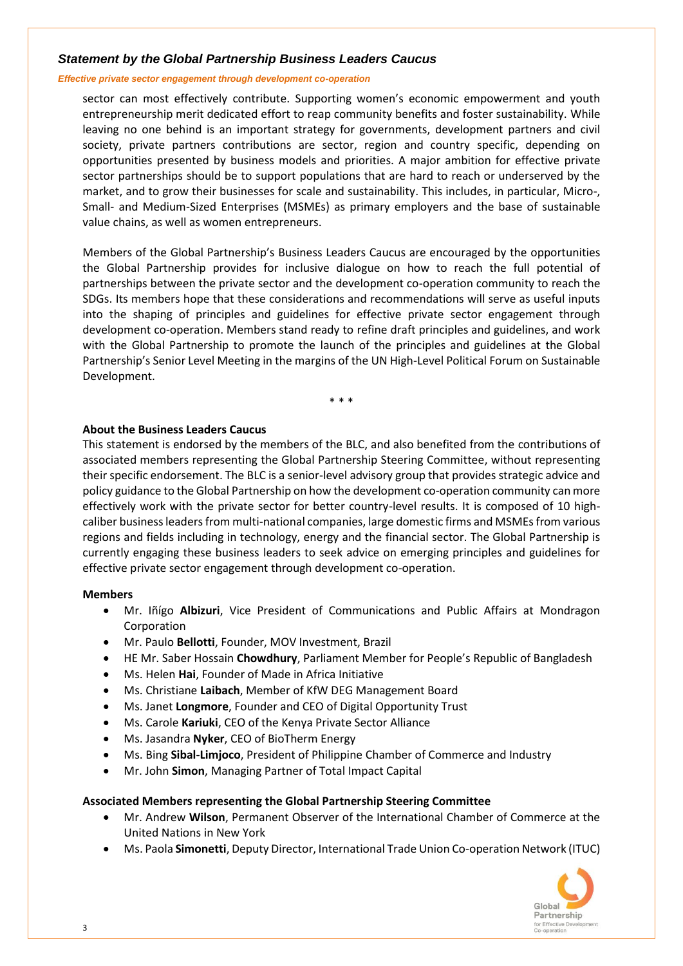# *Statement by the Global Partnership Business Leaders Caucus*

### *Effective private sector engagement through development co-operation*

sector can most effectively contribute. Supporting women's economic empowerment and youth entrepreneurship merit dedicated effort to reap community benefits and foster sustainability. While leaving no one behind is an important strategy for governments, development partners and civil society, private partners contributions are sector, region and country specific, depending on opportunities presented by business models and priorities. A major ambition for effective private sector partnerships should be to support populations that are hard to reach or underserved by the market, and to grow their businesses for scale and sustainability. This includes, in particular, Micro-, Small- and Medium-Sized Enterprises (MSMEs) as primary employers and the base of sustainable value chains, as well as women entrepreneurs.

Members of the Global Partnership's Business Leaders Caucus are encouraged by the opportunities the Global Partnership provides for inclusive dialogue on how to reach the full potential of partnerships between the private sector and the development co-operation community to reach the SDGs. Its members hope that these considerations and recommendations will serve as useful inputs into the shaping of principles and guidelines for effective private sector engagement through development co-operation. Members stand ready to refine draft principles and guidelines, and work with the Global Partnership to promote the launch of the principles and guidelines at the Global Partnership's Senior Level Meeting in the margins of the UN High-Level Political Forum on Sustainable Development.

\* \* \*

### **About the Business Leaders Caucus**

This statement is endorsed by the members of the BLC, and also benefited from the contributions of associated members representing the Global Partnership Steering Committee, without representing their specific endorsement. The BLC is a senior-level advisory group that provides strategic advice and policy guidance to the Global Partnership on how the development co-operation community can more effectively work with the private sector for better country-level results. It is composed of 10 highcaliber business leaders from multi-national companies, large domestic firms and MSMEs from various regions and fields including in technology, energy and the financial sector. The Global Partnership is currently engaging these business leaders to seek advice on emerging principles and guidelines for effective private sector engagement through development co-operation.

### **Members**

- Mr. Iñígo **Albizuri**, Vice President of Communications and Public Affairs at Mondragon Corporation
- Mr. Paulo **Bellotti**, Founder, MOV Investment, Brazil
- HE Mr. Saber Hossain **Chowdhury**, Parliament Member for People's Republic of Bangladesh
- Ms. Helen **Hai**, Founder of Made in Africa Initiative
- Ms. Christiane **Laibach**, Member of KfW DEG Management Board
- Ms. Janet **Longmore**, Founder and CEO of Digital Opportunity Trust
- Ms. Carole **Kariuki**, CEO of the Kenya Private Sector Alliance
- Ms. Jasandra **Nyker**, CEO of BioTherm Energy
- Ms. Bing **Sibal-Limjoco**, President of Philippine Chamber of Commerce and Industry
- Mr. John **Simon**, Managing Partner of Total Impact Capital

# **Associated Members representing the Global Partnership Steering Committee**

- Mr. Andrew **Wilson**, Permanent Observer of the International Chamber of Commerce at the United Nations in New York
- Ms. Paola **Simonetti**, Deputy Director, International Trade Union Co-operation Network (ITUC)